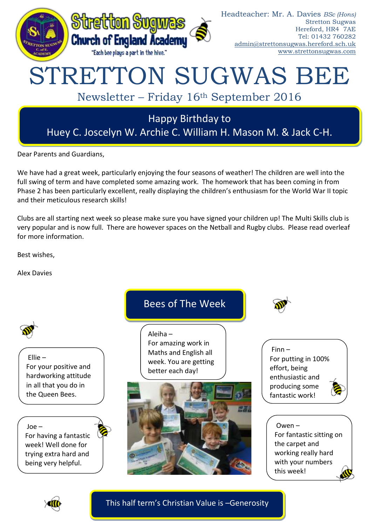

Dear Parents and Guardians,

We have had a great week, particularly enjoying the four seasons of weather! The children are well into the full swing of term and have completed some amazing work. The homework that has been coming in from Phase 2 has been particularly excellent, really displaying the children's enthusiasm for the World War II topic and their meticulous research skills!

Clubs are all starting next week so please make sure you have signed your children up! The Multi Skills club is very popular and is now full. There are however spaces on the Netball and Rugby clubs. Please read overleaf for more information.

Best wishes,

Alex Davies





This half term's Christian Value is –Generosity